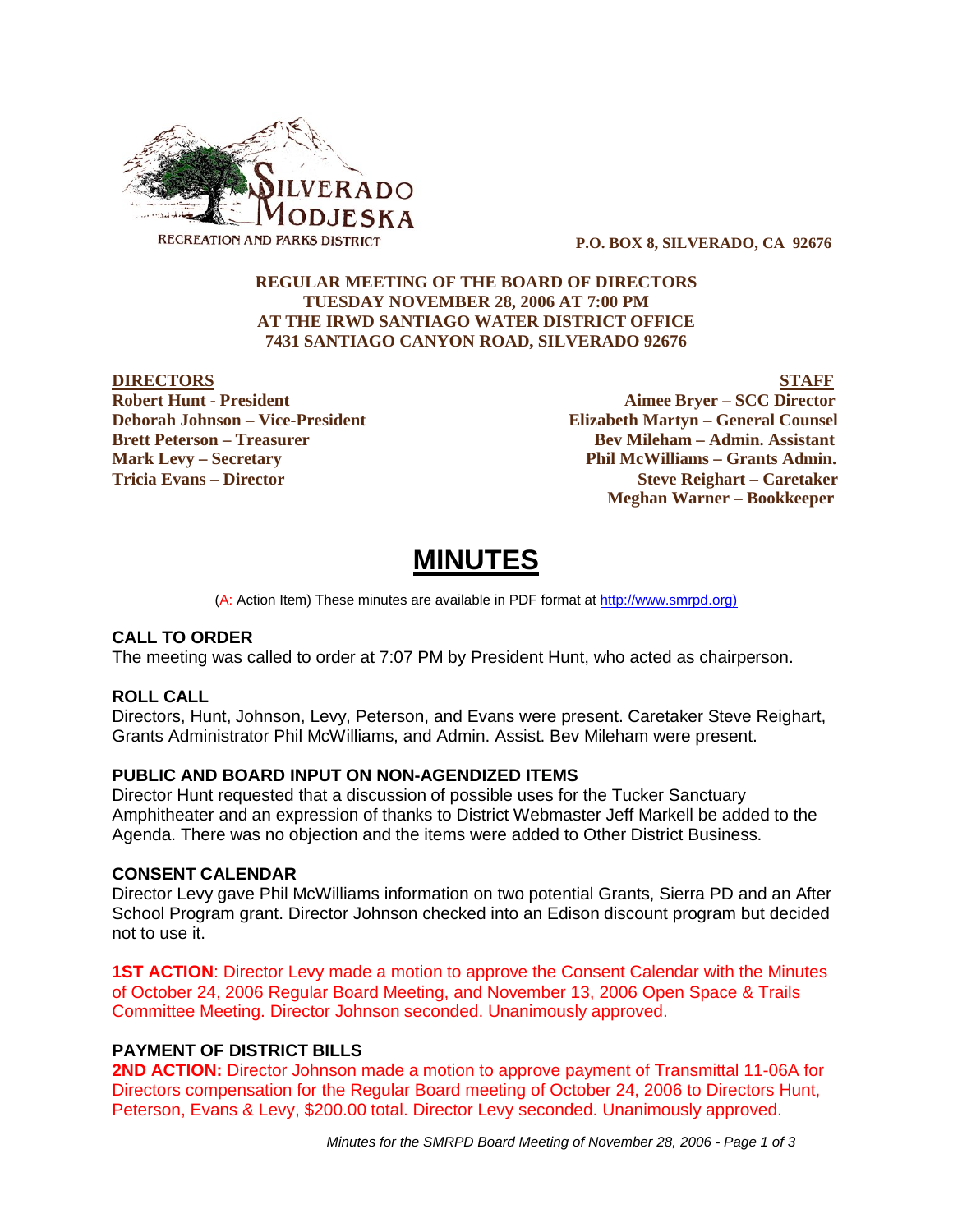

 **P.O. BOX 8, SILVERADO, CA 92676**

## **REGULAR MEETING OF THE BOARD OF DIRECTORS TUESDAY NOVEMBER 28, 2006 AT 7:00 PM AT THE IRWD SANTIAGO WATER DISTRICT OFFICE 7431 SANTIAGO CANYON ROAD, SILVERADO 92676**

**DIRECTORS STAFF Robert Hunt - President Aimee Bryer – SCC Director Deborah Johnson – Vice-President Elizabeth Martyn – General Counsel Brett Peterson – Treasurer Serverson – Bev Mileham – Admin. Assistant Mark Levy – Secretary Phil McWilliams – Grants Admin. Tricia Evans – Director Steve Reighart – Caretaker Meghan Warner – Bookkeeper**

# **MINUTES**

(A: Action Item) These minutes are available in PDF format at http://www.smrpd.org)

#### **CALL TO ORDER**

The meeting was called to order at 7:07 PM by President Hunt, who acted as chairperson.

#### **ROLL CALL**

Directors, Hunt, Johnson, Levy, Peterson, and Evans were present. Caretaker Steve Reighart, Grants Administrator Phil McWilliams, and Admin. Assist. Bev Mileham were present.

#### **PUBLIC AND BOARD INPUT ON NON-AGENDIZED ITEMS**

Director Hunt requested that a discussion of possible uses for the Tucker Sanctuary Amphitheater and an expression of thanks to District Webmaster Jeff Markell be added to the Agenda. There was no objection and the items were added to Other District Business.

#### **CONSENT CALENDAR**

Director Levy gave Phil McWilliams information on two potential Grants, Sierra PD and an After School Program grant. Director Johnson checked into an Edison discount program but decided not to use it.

**1ST ACTION**: Director Levy made a motion to approve the Consent Calendar with the Minutes of October 24, 2006 Regular Board Meeting, and November 13, 2006 Open Space & Trails Committee Meeting. Director Johnson seconded. Unanimously approved.

#### **PAYMENT OF DISTRICT BILLS**

**2ND ACTION:** Director Johnson made a motion to approve payment of Transmittal 11-06A for Directors compensation for the Regular Board meeting of October 24, 2006 to Directors Hunt, Peterson, Evans & Levy, \$200.00 total. Director Levy seconded. Unanimously approved.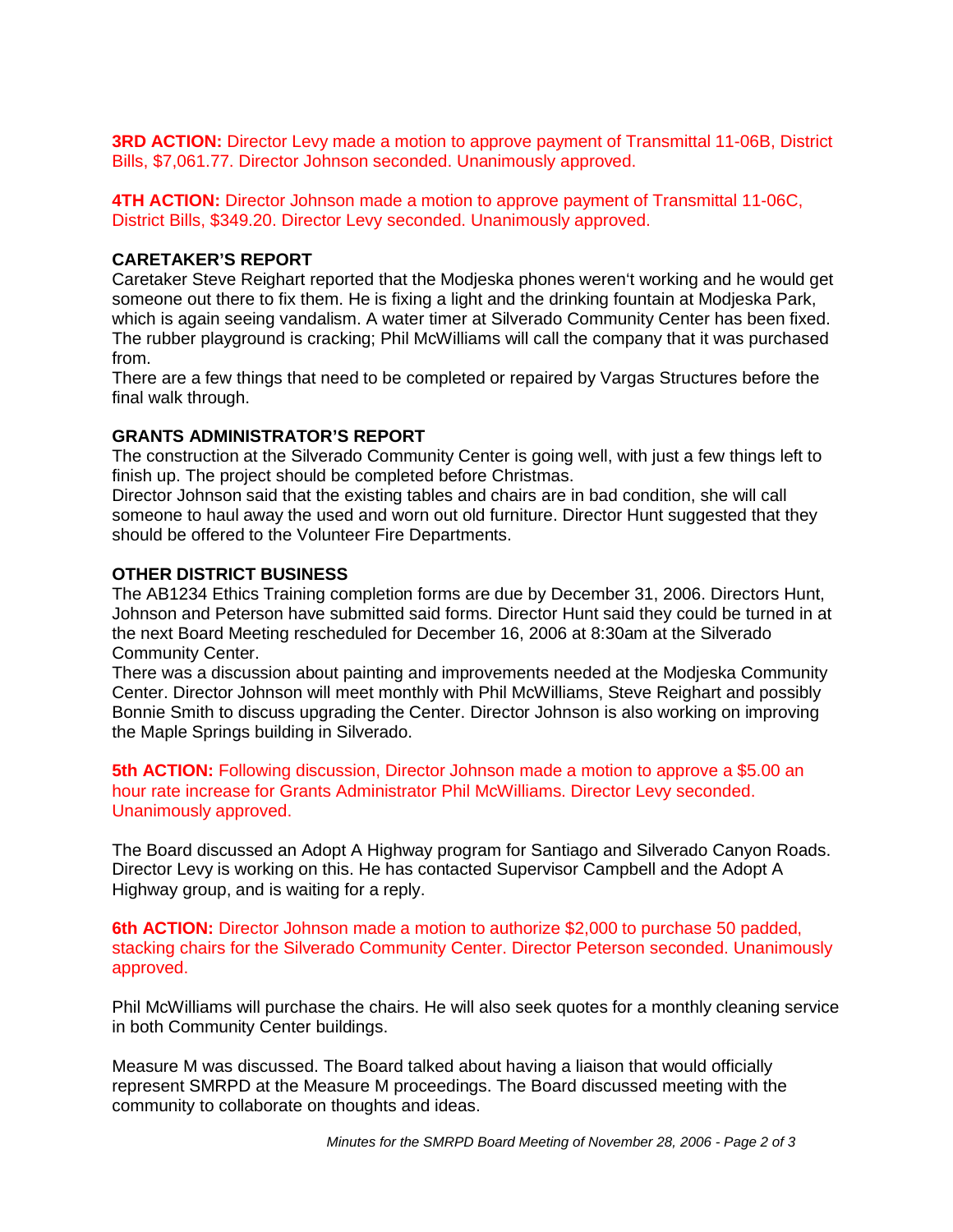**3RD ACTION:** Director Levy made a motion to approve payment of Transmittal 11-06B, District Bills, \$7,061.77. Director Johnson seconded. Unanimously approved.

**4TH ACTION:** Director Johnson made a motion to approve payment of Transmittal 11-06C, District Bills, \$349.20. Director Levy seconded. Unanimously approved.

#### **CARETAKER'S REPORT**

Caretaker Steve Reighart reported that the Modjeska phones weren't working and he would get someone out there to fix them. He is fixing a light and the drinking fountain at Modjeska Park, which is again seeing vandalism. A water timer at Silverado Community Center has been fixed. The rubber playground is cracking; Phil McWilliams will call the company that it was purchased from.

There are a few things that need to be completed or repaired by Vargas Structures before the final walk through.

## **GRANTS ADMINISTRATOR'S REPORT**

The construction at the Silverado Community Center is going well, with just a few things left to finish up. The project should be completed before Christmas.

Director Johnson said that the existing tables and chairs are in bad condition, she will call someone to haul away the used and worn out old furniture. Director Hunt suggested that they should be offered to the Volunteer Fire Departments.

# **OTHER DISTRICT BUSINESS**

The AB1234 Ethics Training completion forms are due by December 31, 2006. Directors Hunt, Johnson and Peterson have submitted said forms. Director Hunt said they could be turned in at the next Board Meeting rescheduled for December 16, 2006 at 8:30am at the Silverado Community Center.

There was a discussion about painting and improvements needed at the Modjeska Community Center. Director Johnson will meet monthly with Phil McWilliams, Steve Reighart and possibly Bonnie Smith to discuss upgrading the Center. Director Johnson is also working on improving the Maple Springs building in Silverado.

**5th ACTION:** Following discussion, Director Johnson made a motion to approve a \$5.00 an hour rate increase for Grants Administrator Phil McWilliams. Director Levy seconded. Unanimously approved.

The Board discussed an Adopt A Highway program for Santiago and Silverado Canyon Roads. Director Levy is working on this. He has contacted Supervisor Campbell and the Adopt A Highway group, and is waiting for a reply.

**6th ACTION:** Director Johnson made a motion to authorize \$2,000 to purchase 50 padded, stacking chairs for the Silverado Community Center. Director Peterson seconded. Unanimously approved.

Phil McWilliams will purchase the chairs. He will also seek quotes for a monthly cleaning service in both Community Center buildings.

Measure M was discussed. The Board talked about having a liaison that would officially represent SMRPD at the Measure M proceedings. The Board discussed meeting with the community to collaborate on thoughts and ideas.